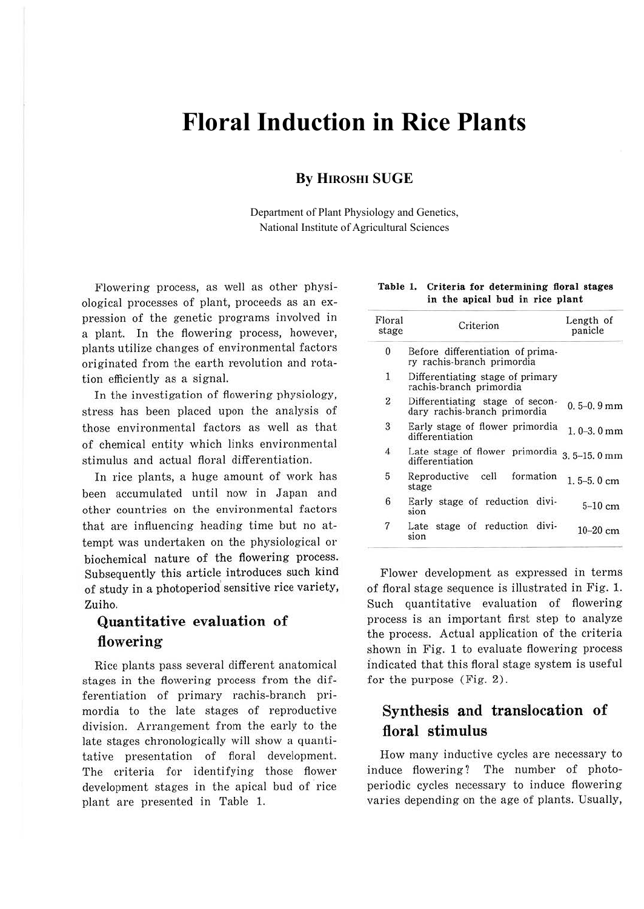# **Floral Induction in Rice Plants**

#### **By HIROSHI SUGE**

Department of Plant Physiology and Genetics, National Institute of Agricultural Sciences

Flowering process, as well as other physiological processes of plant, proceeds as an expression of the genetic programs involved in a plant. In the flowering process, however, plants utilize changes of environmental factors originated from the earth revolution and rotation efficiently as a signal.

In the investigation of flowering physiology, stress has been placed upon the analysis of those environmental factors as well as that of chemical entity which links environmental stimulus and actual floral differentiation.

In rice plants, a huge amount of work has been accumulated until now in Japan and other countries on the environmental factors that are influencing heading time but no attempt was undertaken on the physiological or biochemical nature of the flowering process. Subsequently this article introduces such kind of study in a photoperiod' sensitive rice variety, Zuiho.

# **Quantitative evaluation** of **flowering**

Rice plants pass several different anatomical stages in the flowering process from the differentiation of primary rachis-branch primordia to the late stages of reproductive division. Arrangement from the early to the late stages chronologically will show a quantitative presentation of floral development. The criteria for identifying those flower development stages in the apical bud of rice plant are presented in Table 1.

|  | Table 1. Criteria for determining floral stages |  |
|--|-------------------------------------------------|--|
|  | in the apical bud in rice plant                 |  |

| Floral<br>stage | Criterion                                                       | Length of<br>panicle |
|-----------------|-----------------------------------------------------------------|----------------------|
| $\mathbf{0}$    | Before differentiation of prima-<br>ry rachis-branch primordia  |                      |
| $\mathbf{1}$    | Differentiating stage of primary<br>rachis-branch primordia     |                      |
| $\mathbf{2}$    | Differentiating stage of secon-<br>dary rachis-branch primordia | $0.5 - 0.9$ mm       |
| 3               | Early stage of flower primordia<br>differentiation              | $1.0 - 3.0$ mm       |
| $\overline{4}$  | Late stage of flower primordia<br>differentiation               | $3.5 - 15.0$ mm      |
| 5               | Reproductive cell formation<br>stage                            | $1.5 - 5.0$ cm       |
| 6               | Early stage of reduction divi-<br>sion                          | $5-10$ cm            |
| 7               | Late stage of reduction divi-<br>sion                           | $10-20$ cm           |

Flower development as expressed in terms of floral stage sequence is illustrated in Fig. 1. Such quantitative evaluation of flowering process is an important first step to analyze the process. Actual application of the criteria shown in Fig. 1 to evaluate flowering process indicated that this floral stage system is useful for the purpose (Fig. 2).

## **Synthesis and translocation of floral stimulus**

How many inductive cycles are necessary to induce flowering? The number of photoperiodic cycles necessary to induce flowering varies depending on the age of plants. Usually,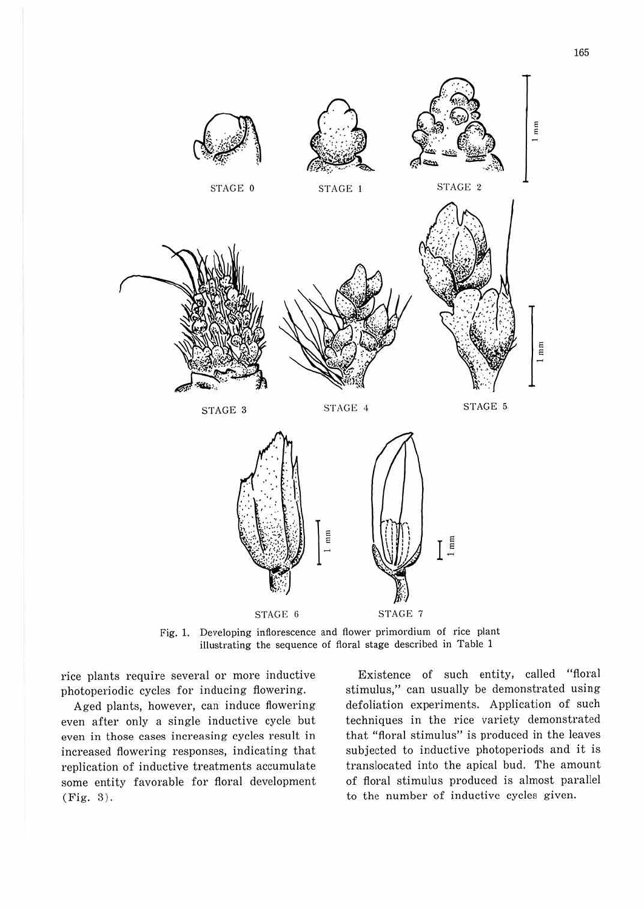

Fig. 1. Developing inflorescence and flower primordium of rice plant illustrating the sequence of floral stage described in Table 1

rice plants require several or more inductive photoperiodic cycles for inducing flowering.

Aged plants, however, can induce flowering even after only a single inductive cycle but even in those cases increasing cycles result in increased flowering responses, indicating that replication of inductive treatments accumulate some entity favorable for floral development (Fig. 3).

Existence of such entity, called "floral stimulus," can usually be demonstrated using defoliation experiments. Application of such techniques in the rice variety demonstrated that "floral stimulus" is produced in the leaves subjected to inductive photoperiods and it is translocated into the apical bud. The amount of floral stimulus produced is almost parallel to the number of inductive cycles given.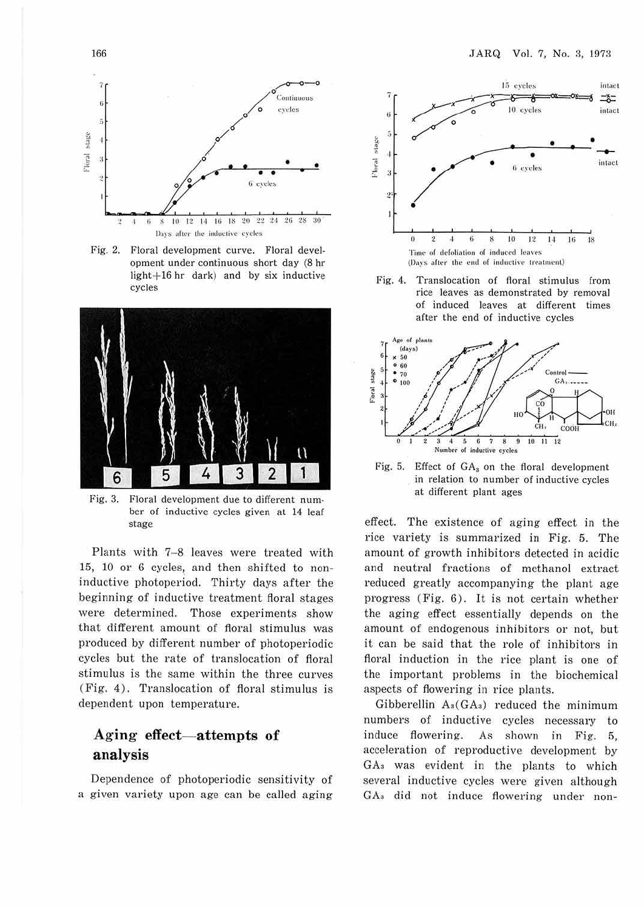

Fig. 2. Floral development curve. Floral development under continuous short day (8 hr light+16 hr dark) and by six inductive cycles



Fig. 3. Floral development due to different number of inductive cycles given at 14 leaf stage

Plants with 7-8 leaves were treated with 15, 10 or 6 cycles, and then shifted to noninductive photoperiod. Thirty days after the beginning of inductive treatment floral stages were determined. Those experiments show that different amount of floral stimulus was produced by different number of photoperiodic cycles but the rate of translocation of floral stimulus is the same within the three curves (Fig. 4). Translocation of floral stimulus is dependent upon temperature.

### Aging effect—attempts of analysis

Dependence of photoperiodic sensitivity of a given variety upon age can be called aging



Fig.  $4.$ Translocation of floral stimulus from rice leaves as demonstrated by removal of induced leaves at different times after the end of inductive cycles



Fig. 5. Effect of  $GA_3$  on the floral development in relation to number of inductive cycles at different plant ages

effect. The existence of aging effect in the rice variety is summarized in Fig. 5. The amount of growth inhibitors detected in acidic and neutral fractions of methanol extract reduced greatly accompanying the plant age progress (Fig. 6). It is not certain whether the aging effect essentially depends on the amount of endogenous inhibitors or not, but it can be said that the role of inhibitors in floral induction in the rice plant is one of the important problems in the biochemical aspects of flowering in rice plants.

Gibberellin  $A_3(GA_3)$  reduced the minimum numbers of inductive cycles necessary to induce flowering. As shown in Fig. 5, acceleration of reproductive development by GA<sub>3</sub> was evident in the plants to which several inductive cycles were given although GA<sub>3</sub> did not induce flowering under non-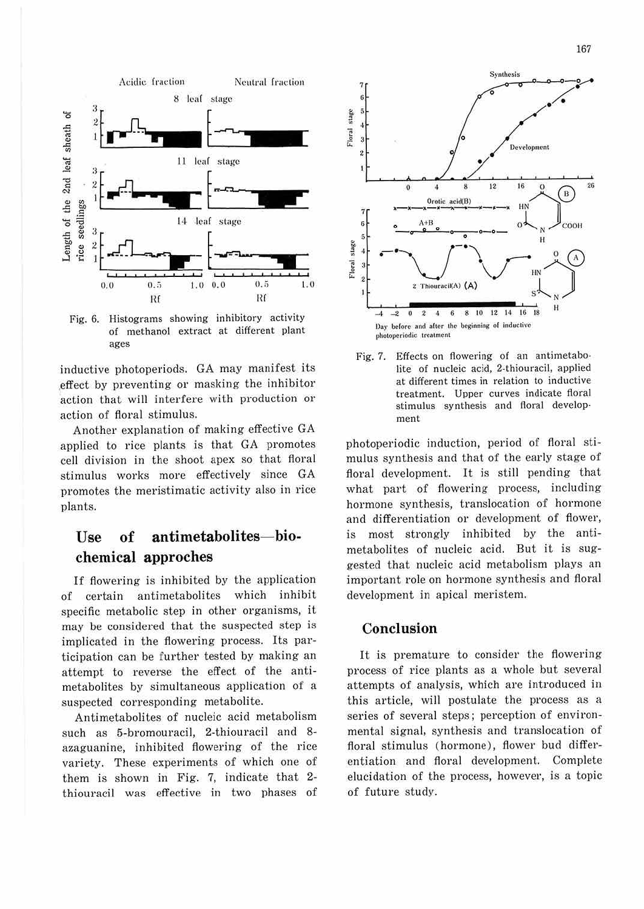



Fig. 6. Histograms showing inhibitory activity of methanol extract at different plant ages

inductive photoperiods. GA may manifest its effect by preventing or masking the inhibitor action that will interfere with production or action of floral stimulus.

Another explanation of making effective GA applied to rice plants is that GA promotes cell division in the shoot apex so that floral stimulus works more effectively since GA promotes the meristimatic activity also in rice plants.

#### antimetabolites-bioof  $\prod$ ge chemical approches

If flowering is inhibited by the application of certain antimetabolites which inhibit specific metabolic step in other organisms, it may be considered that the suspected step is implicated in the flowering process. Its participation can be further tested by making an attempt to reverse the effect of the antimetabolites by simultaneous application of a suspected corresponding metabolite.

Antimetabolites of nucleic acid metabolism such as 5-bromouracil, 2-thiouracil and 8azaguanine, inhibited flowering of the rice variety. These experiments of which one of them is shown in Fig. 7, indicate that 2thiouracil was effective in two phases of



Fig. 7. Effects on flowering of an antimetabolite of nucleic acid, 2-thiouracil, applied at different times in relation to inductive treatment. Upper curves indicate floral stimulus synthesis and floral development

photoperiodic induction, period of floral stimulus synthesis and that of the early stage of floral development. It is still pending that what part of flowering process, including hormone synthesis, translocation of hormone and differentiation or development of flower, is most strongly inhibited by the antimetabolites of nucleic acid. But it is suggested that nucleic acid metabolism plays an important role on hormone synthesis and floral development in apical meristem.

#### Conclusion

It is premature to consider the flowering process of rice plants as a whole but several attempts of analysis, which are introduced in this article, will postulate the process as a series of several steps; perception of environmental signal, synthesis and translocation of floral stimulus (hormone), flower bud differentiation and floral development. Complete elucidation of the process, however, is a topic of future study.